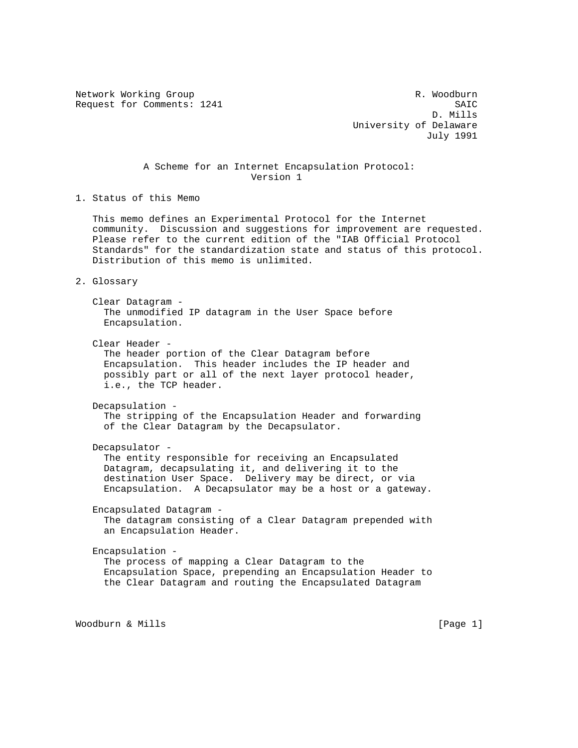Network Working Group and the set of the set of the R. Woodburn

Request for Comments: 1241 SAIC SAIC D. Mills University of Delaware July 1991

# A Scheme for an Internet Encapsulation Protocol: Version 1

1. Status of this Memo

 This memo defines an Experimental Protocol for the Internet community. Discussion and suggestions for improvement are requested. Please refer to the current edition of the "IAB Official Protocol Standards" for the standardization state and status of this protocol. Distribution of this memo is unlimited.

2. Glossary

 Clear Datagram - The unmodified IP datagram in the User Space before Encapsulation.

Clear Header -

 The header portion of the Clear Datagram before Encapsulation. This header includes the IP header and possibly part or all of the next layer protocol header, i.e., the TCP header.

 Decapsulation - The stripping of the Encapsulation Header and forwarding of the Clear Datagram by the Decapsulator.

Decapsulator -

 The entity responsible for receiving an Encapsulated Datagram, decapsulating it, and delivering it to the destination User Space. Delivery may be direct, or via Encapsulation. A Decapsulator may be a host or a gateway.

 Encapsulated Datagram - The datagram consisting of a Clear Datagram prepended with an Encapsulation Header.

 Encapsulation - The process of mapping a Clear Datagram to the Encapsulation Space, prepending an Encapsulation Header to the Clear Datagram and routing the Encapsulated Datagram

Woodburn & Mills [Page 1]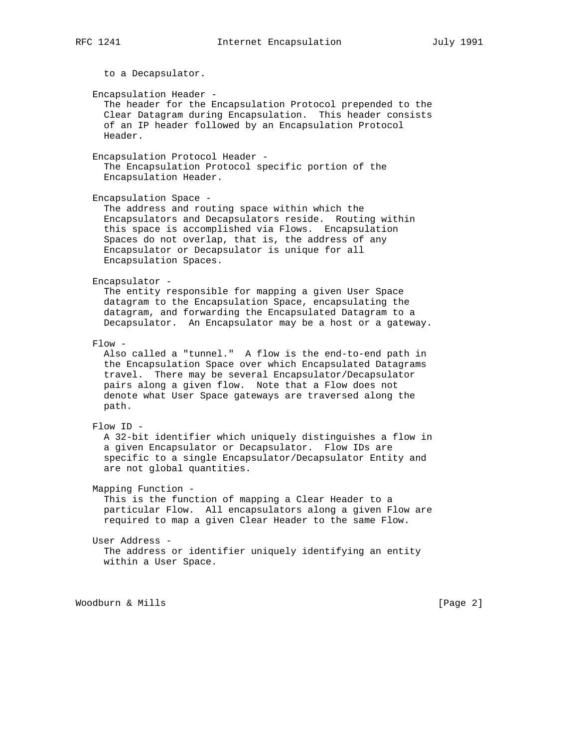to a Decapsulator. Encapsulation Header - The header for the Encapsulation Protocol prepended to the Clear Datagram during Encapsulation. This header consists of an IP header followed by an Encapsulation Protocol Header. Encapsulation Protocol Header - The Encapsulation Protocol specific portion of the Encapsulation Header. Encapsulation Space - The address and routing space within which the Encapsulators and Decapsulators reside. Routing within this space is accomplished via Flows. Encapsulation Spaces do not overlap, that is, the address of any Encapsulator or Decapsulator is unique for all Encapsulation Spaces. Encapsulator - The entity responsible for mapping a given User Space datagram to the Encapsulation Space, encapsulating the datagram, and forwarding the Encapsulated Datagram to a Decapsulator. An Encapsulator may be a host or a gateway.  $F$ ]  $\cap w$  – Also called a "tunnel." A flow is the end-to-end path in the Encapsulation Space over which Encapsulated Datagrams travel. There may be several Encapsulator/Decapsulator pairs along a given flow. Note that a Flow does not denote what User Space gateways are traversed along the path. Flow ID - A 32-bit identifier which uniquely distinguishes a flow in a given Encapsulator or Decapsulator. Flow IDs are specific to a single Encapsulator/Decapsulator Entity and are not global quantities. Mapping Function - This is the function of mapping a Clear Header to a particular Flow. All encapsulators along a given Flow are required to map a given Clear Header to the same Flow. User Address - The address or identifier uniquely identifying an entity within a User Space.

Woodburn & Mills [Page 2]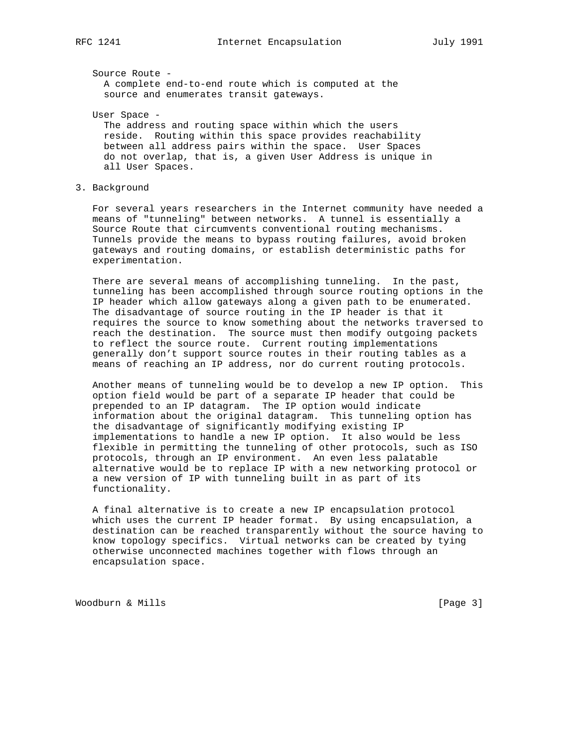Source Route - A complete end-to-end route which is computed at the source and enumerates transit gateways.

User Space -

 The address and routing space within which the users reside. Routing within this space provides reachability between all address pairs within the space. User Spaces do not overlap, that is, a given User Address is unique in all User Spaces.

## 3. Background

 For several years researchers in the Internet community have needed a means of "tunneling" between networks. A tunnel is essentially a Source Route that circumvents conventional routing mechanisms. Tunnels provide the means to bypass routing failures, avoid broken gateways and routing domains, or establish deterministic paths for experimentation.

 There are several means of accomplishing tunneling. In the past, tunneling has been accomplished through source routing options in the IP header which allow gateways along a given path to be enumerated. The disadvantage of source routing in the IP header is that it requires the source to know something about the networks traversed to reach the destination. The source must then modify outgoing packets to reflect the source route. Current routing implementations generally don't support source routes in their routing tables as a means of reaching an IP address, nor do current routing protocols.

 Another means of tunneling would be to develop a new IP option. This option field would be part of a separate IP header that could be prepended to an IP datagram. The IP option would indicate information about the original datagram. This tunneling option has the disadvantage of significantly modifying existing IP implementations to handle a new IP option. It also would be less flexible in permitting the tunneling of other protocols, such as ISO protocols, through an IP environment. An even less palatable alternative would be to replace IP with a new networking protocol or a new version of IP with tunneling built in as part of its functionality.

 A final alternative is to create a new IP encapsulation protocol which uses the current IP header format. By using encapsulation, a destination can be reached transparently without the source having to know topology specifics. Virtual networks can be created by tying otherwise unconnected machines together with flows through an encapsulation space.

Woodburn & Mills [Page 3]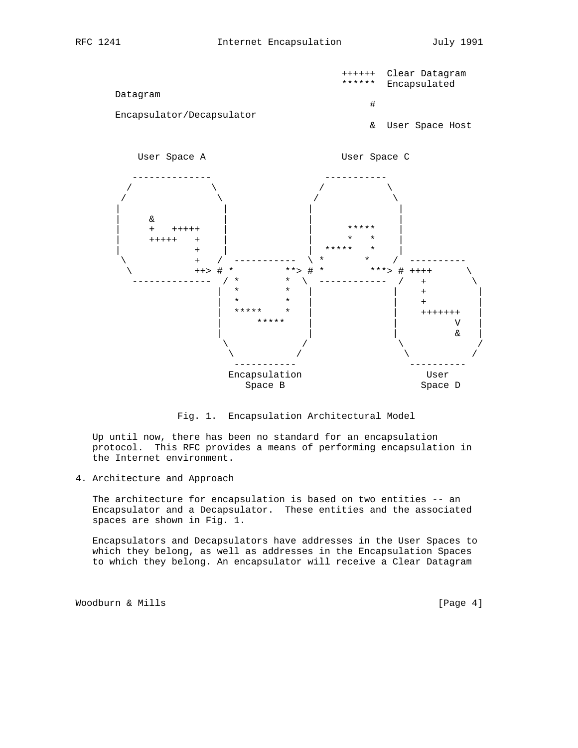



Fig. 1. Encapsulation Architectural Model

 Up until now, there has been no standard for an encapsulation protocol. This RFC provides a means of performing encapsulation in the Internet environment.

4. Architecture and Approach

 The architecture for encapsulation is based on two entities -- an Encapsulator and a Decapsulator. These entities and the associated spaces are shown in Fig. 1.

 Encapsulators and Decapsulators have addresses in the User Spaces to which they belong, as well as addresses in the Encapsulation Spaces to which they belong. An encapsulator will receive a Clear Datagram

Woodburn & Mills [Page 4]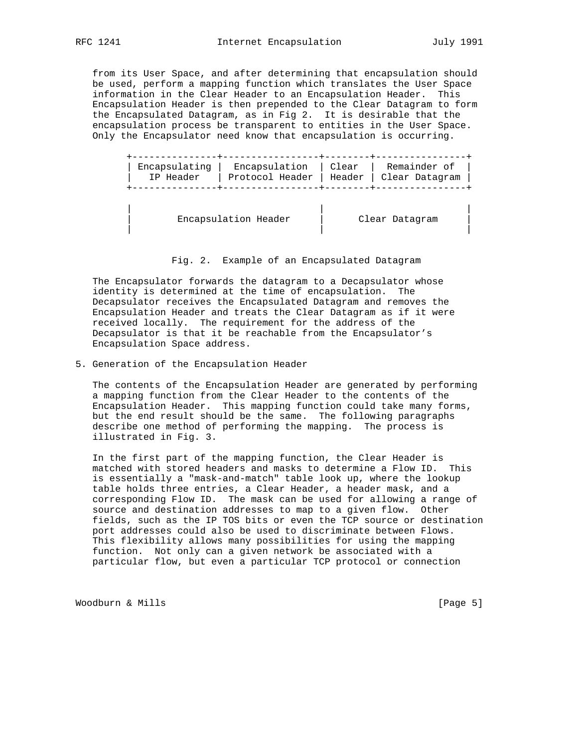from its User Space, and after determining that encapsulation should be used, perform a mapping function which translates the User Space information in the Clear Header to an Encapsulation Header. This Encapsulation Header is then prepended to the Clear Datagram to form the Encapsulated Datagram, as in Fig 2. It is desirable that the encapsulation process be transparent to entities in the User Space. Only the Encapsulator need know that encapsulation is occurring.

|           | Encapsulating   Encapsulation   Clear   Remainder of |  |
|-----------|------------------------------------------------------|--|
| IP Header | Protocol Header   Header   Clear Datagram            |  |
|           |                                                      |  |

| Encapsulation Header | Clear Datagram |  |
|----------------------|----------------|--|

#### Fig. 2. Example of an Encapsulated Datagram

 The Encapsulator forwards the datagram to a Decapsulator whose identity is determined at the time of encapsulation. The Decapsulator receives the Encapsulated Datagram and removes the Encapsulation Header and treats the Clear Datagram as if it were received locally. The requirement for the address of the Decapsulator is that it be reachable from the Encapsulator's Encapsulation Space address.

| | |

5. Generation of the Encapsulation Header

 The contents of the Encapsulation Header are generated by performing a mapping function from the Clear Header to the contents of the Encapsulation Header. This mapping function could take many forms, but the end result should be the same. The following paragraphs describe one method of performing the mapping. The process is illustrated in Fig. 3.

 In the first part of the mapping function, the Clear Header is matched with stored headers and masks to determine a Flow ID. This is essentially a "mask-and-match" table look up, where the lookup table holds three entries, a Clear Header, a header mask, and a corresponding Flow ID. The mask can be used for allowing a range of source and destination addresses to map to a given flow. Other fields, such as the IP TOS bits or even the TCP source or destination port addresses could also be used to discriminate between Flows. This flexibility allows many possibilities for using the mapping function. Not only can a given network be associated with a particular flow, but even a particular TCP protocol or connection

Woodburn & Mills [Page 5]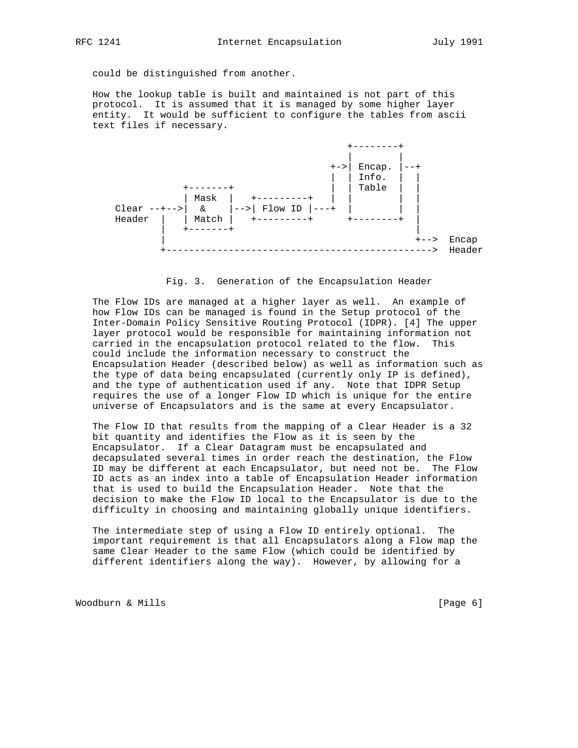could be distinguished from another.

 How the lookup table is built and maintained is not part of this protocol. It is assumed that it is managed by some higher layer entity. It would be sufficient to configure the tables from ascii text files if necessary.



#### Fig. 3. Generation of the Encapsulation Header

 The Flow IDs are managed at a higher layer as well. An example of how Flow IDs can be managed is found in the Setup protocol of the Inter-Domain Policy Sensitive Routing Protocol (IDPR). [4] The upper layer protocol would be responsible for maintaining information not carried in the encapsulation protocol related to the flow. This could include the information necessary to construct the Encapsulation Header (described below) as well as information such as the type of data being encapsulated (currently only IP is defined), and the type of authentication used if any. Note that IDPR Setup requires the use of a longer Flow ID which is unique for the entire universe of Encapsulators and is the same at every Encapsulator.

 The Flow ID that results from the mapping of a Clear Header is a 32 bit quantity and identifies the Flow as it is seen by the Encapsulator. If a Clear Datagram must be encapsulated and decapsulated several times in order reach the destination, the Flow ID may be different at each Encapsulator, but need not be. The Flow ID acts as an index into a table of Encapsulation Header information that is used to build the Encapsulation Header. Note that the decision to make the Flow ID local to the Encapsulator is due to the difficulty in choosing and maintaining globally unique identifiers.

 The intermediate step of using a Flow ID entirely optional. The important requirement is that all Encapsulators along a Flow map the same Clear Header to the same Flow (which could be identified by different identifiers along the way). However, by allowing for a

Woodburn & Mills [Page 6]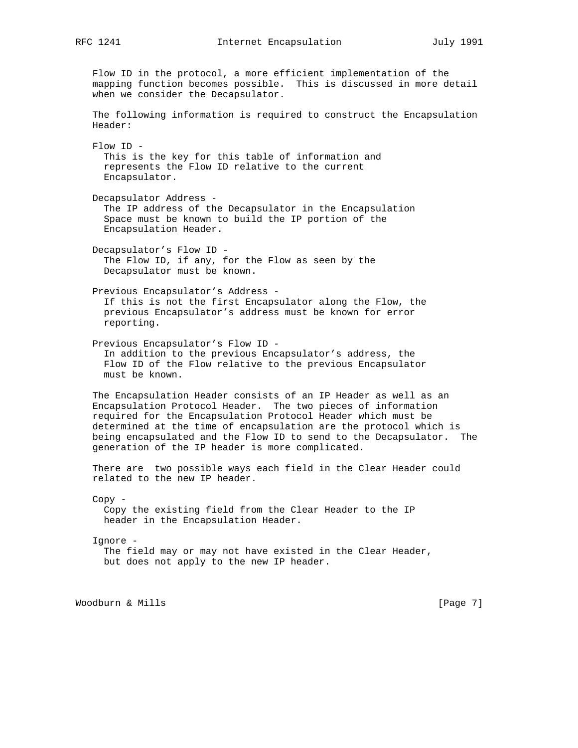Flow ID in the protocol, a more efficient implementation of the mapping function becomes possible. This is discussed in more detail when we consider the Decapsulator. The following information is required to construct the Encapsulation Header: Flow ID - This is the key for this table of information and represents the Flow ID relative to the current Encapsulator. Decapsulator Address - The IP address of the Decapsulator in the Encapsulation Space must be known to build the IP portion of the Encapsulation Header. Decapsulator's Flow ID - The Flow ID, if any, for the Flow as seen by the Decapsulator must be known. Previous Encapsulator's Address - If this is not the first Encapsulator along the Flow, the previous Encapsulator's address must be known for error reporting. Previous Encapsulator's Flow ID - In addition to the previous Encapsulator's address, the Flow ID of the Flow relative to the previous Encapsulator must be known. The Encapsulation Header consists of an IP Header as well as an Encapsulation Protocol Header. The two pieces of information required for the Encapsulation Protocol Header which must be determined at the time of encapsulation are the protocol which is being encapsulated and the Flow ID to send to the Decapsulator. The generation of the IP header is more complicated. There are two possible ways each field in the Clear Header could related to the new IP header. Copy - Copy the existing field from the Clear Header to the IP header in the Encapsulation Header. Ignore - The field may or may not have existed in the Clear Header, but does not apply to the new IP header.

Woodburn & Mills [Page 7]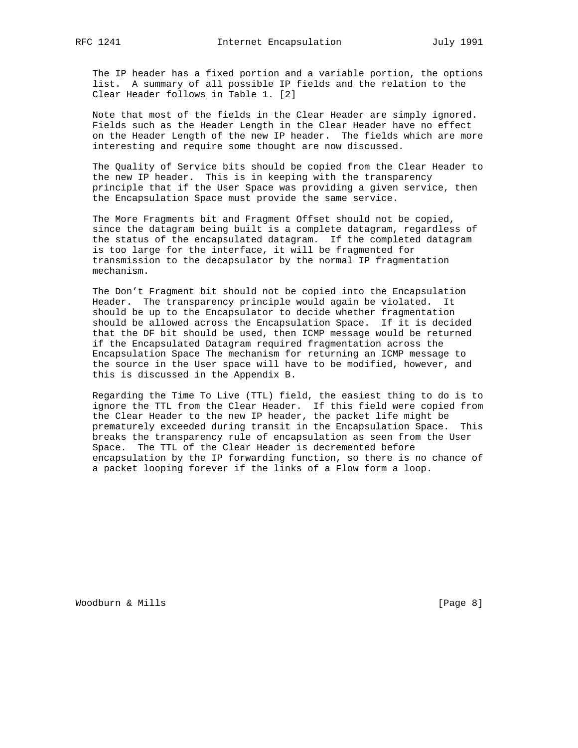The IP header has a fixed portion and a variable portion, the options list. A summary of all possible IP fields and the relation to the Clear Header follows in Table 1. [2]

 Note that most of the fields in the Clear Header are simply ignored. Fields such as the Header Length in the Clear Header have no effect on the Header Length of the new IP header. The fields which are more interesting and require some thought are now discussed.

 The Quality of Service bits should be copied from the Clear Header to the new IP header. This is in keeping with the transparency principle that if the User Space was providing a given service, then the Encapsulation Space must provide the same service.

 The More Fragments bit and Fragment Offset should not be copied, since the datagram being built is a complete datagram, regardless of the status of the encapsulated datagram. If the completed datagram is too large for the interface, it will be fragmented for transmission to the decapsulator by the normal IP fragmentation mechanism.

 The Don't Fragment bit should not be copied into the Encapsulation Header. The transparency principle would again be violated. It should be up to the Encapsulator to decide whether fragmentation should be allowed across the Encapsulation Space. If it is decided that the DF bit should be used, then ICMP message would be returned if the Encapsulated Datagram required fragmentation across the Encapsulation Space The mechanism for returning an ICMP message to the source in the User space will have to be modified, however, and this is discussed in the Appendix B.

 Regarding the Time To Live (TTL) field, the easiest thing to do is to ignore the TTL from the Clear Header. If this field were copied from the Clear Header to the new IP header, the packet life might be prematurely exceeded during transit in the Encapsulation Space. This breaks the transparency rule of encapsulation as seen from the User Space. The TTL of the Clear Header is decremented before encapsulation by the IP forwarding function, so there is no chance of a packet looping forever if the links of a Flow form a loop.

Woodburn & Mills [Page 8]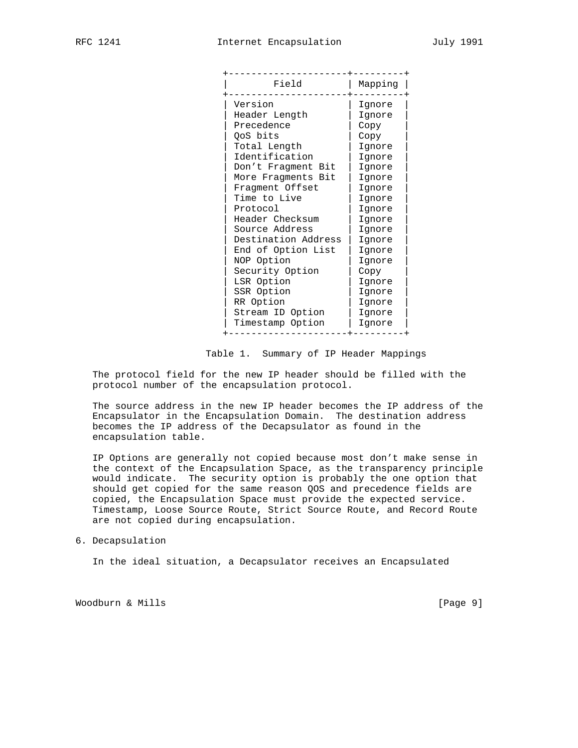| Field                                                                                                                                                                                                                                                                                                                                                                               | Mapping                                                                                                                                                                                                            |
|-------------------------------------------------------------------------------------------------------------------------------------------------------------------------------------------------------------------------------------------------------------------------------------------------------------------------------------------------------------------------------------|--------------------------------------------------------------------------------------------------------------------------------------------------------------------------------------------------------------------|
| Version<br>Header Length<br>Precedence<br>QoS bits<br>Total Length<br>Identification<br>Don't Fragment Bit<br>More Fragments Bit<br>Fragment Offset<br>Time to Live<br>Protocol<br>Header Checksum<br>Source Address<br>Destination Address<br>End of Option List<br>NOP Option<br>Security Option<br>LSR Option<br>SSR Option<br>RR Option<br>Stream ID Option<br>Timestamp Option | Ignore<br>Ignore<br>Copy<br>Copy<br>Ignore<br>Ignore<br>Ignore<br>Ignore<br>Ignore<br>Ignore<br>Ignore<br>Ignore<br>Ignore<br>Ignore<br>Ignore<br>Ignore<br>Copy<br>Ignore<br>Ignore<br>Ignore<br>Ignore<br>Ignore |
|                                                                                                                                                                                                                                                                                                                                                                                     |                                                                                                                                                                                                                    |

Table 1. Summary of IP Header Mappings

 The protocol field for the new IP header should be filled with the protocol number of the encapsulation protocol.

 The source address in the new IP header becomes the IP address of the Encapsulator in the Encapsulation Domain. The destination address becomes the IP address of the Decapsulator as found in the encapsulation table.

 IP Options are generally not copied because most don't make sense in the context of the Encapsulation Space, as the transparency principle would indicate. The security option is probably the one option that should get copied for the same reason QOS and precedence fields are copied, the Encapsulation Space must provide the expected service. Timestamp, Loose Source Route, Strict Source Route, and Record Route are not copied during encapsulation.

## 6. Decapsulation

In the ideal situation, a Decapsulator receives an Encapsulated

Woodburn & Mills [Page 9]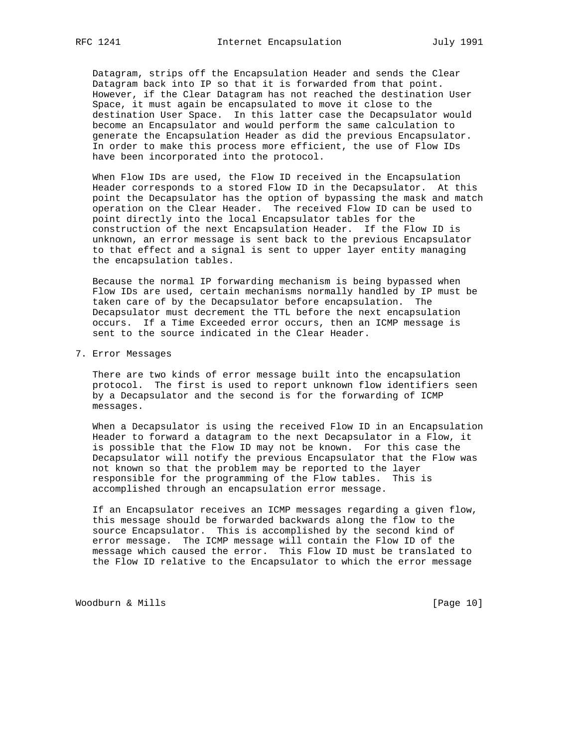Datagram, strips off the Encapsulation Header and sends the Clear Datagram back into IP so that it is forwarded from that point. However, if the Clear Datagram has not reached the destination User Space, it must again be encapsulated to move it close to the destination User Space. In this latter case the Decapsulator would become an Encapsulator and would perform the same calculation to generate the Encapsulation Header as did the previous Encapsulator. In order to make this process more efficient, the use of Flow IDs have been incorporated into the protocol.

 When Flow IDs are used, the Flow ID received in the Encapsulation Header corresponds to a stored Flow ID in the Decapsulator. At this point the Decapsulator has the option of bypassing the mask and match operation on the Clear Header. The received Flow ID can be used to point directly into the local Encapsulator tables for the construction of the next Encapsulation Header. If the Flow ID is unknown, an error message is sent back to the previous Encapsulator to that effect and a signal is sent to upper layer entity managing the encapsulation tables.

 Because the normal IP forwarding mechanism is being bypassed when Flow IDs are used, certain mechanisms normally handled by IP must be taken care of by the Decapsulator before encapsulation. The Decapsulator must decrement the TTL before the next encapsulation occurs. If a Time Exceeded error occurs, then an ICMP message is sent to the source indicated in the Clear Header.

7. Error Messages

 There are two kinds of error message built into the encapsulation protocol. The first is used to report unknown flow identifiers seen by a Decapsulator and the second is for the forwarding of ICMP messages.

 When a Decapsulator is using the received Flow ID in an Encapsulation Header to forward a datagram to the next Decapsulator in a Flow, it is possible that the Flow ID may not be known. For this case the Decapsulator will notify the previous Encapsulator that the Flow was not known so that the problem may be reported to the layer responsible for the programming of the Flow tables. This is accomplished through an encapsulation error message.

 If an Encapsulator receives an ICMP messages regarding a given flow, this message should be forwarded backwards along the flow to the source Encapsulator. This is accomplished by the second kind of error message. The ICMP message will contain the Flow ID of the message which caused the error. This Flow ID must be translated to the Flow ID relative to the Encapsulator to which the error message

Woodburn & Mills [Page 10]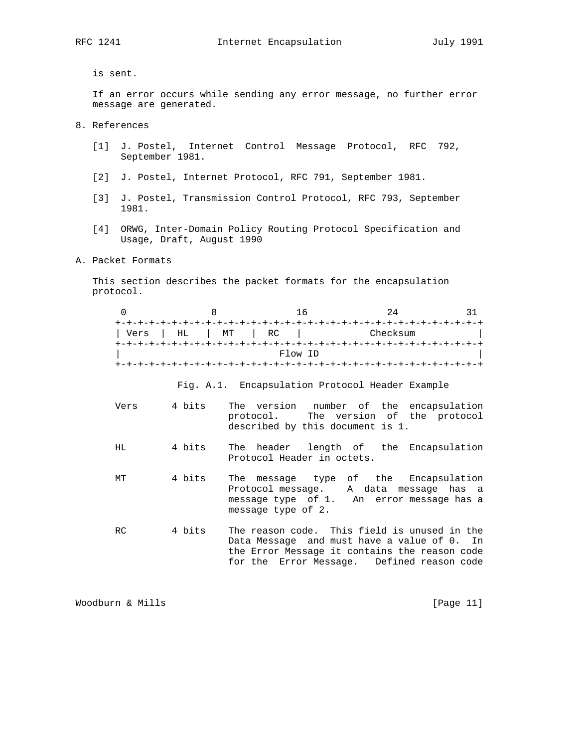is sent.

 If an error occurs while sending any error message, no further error message are generated.

- 8. References
	- [1] J. Postel, Internet Control Message Protocol, RFC 792, September 1981.
	- [2] J. Postel, Internet Protocol, RFC 791, September 1981.
	- [3] J. Postel, Transmission Control Protocol, RFC 793, September 1981.
	- [4] ORWG, Inter-Domain Policy Routing Protocol Specification and Usage, Draft, August 1990
- A. Packet Formats

 This section describes the packet formats for the encapsulation protocol.

|      |     |       | 'n                     |          |  |
|------|-----|-------|------------------------|----------|--|
|      |     |       |                        |          |  |
| Vers | H L | $M$ T | $\vert$ RC             | Checksum |  |
|      |     |       |                        |          |  |
|      |     |       | Flow ID                |          |  |
|      |     |       | --+-+-+-+-+-+-+-+-+-+- |          |  |

Fig. A.1. Encapsulation Protocol Header Example

- Vers 4 bits The version number of the encapsulation protocol. The version of the protocol described by this document is 1.
- HL 4 bits The header length of the Encapsulation Protocol Header in octets.
- MT 4 bits The message type of the Encapsulation Protocol message. A data message has a message type of 1. An error message has a message type of 2.
	- RC 4 bits The reason code. This field is unused in the Data Message and must have a value of 0. In the Error Message it contains the reason code for the Error Message. Defined reason code

Woodburn & Mills [Page 11]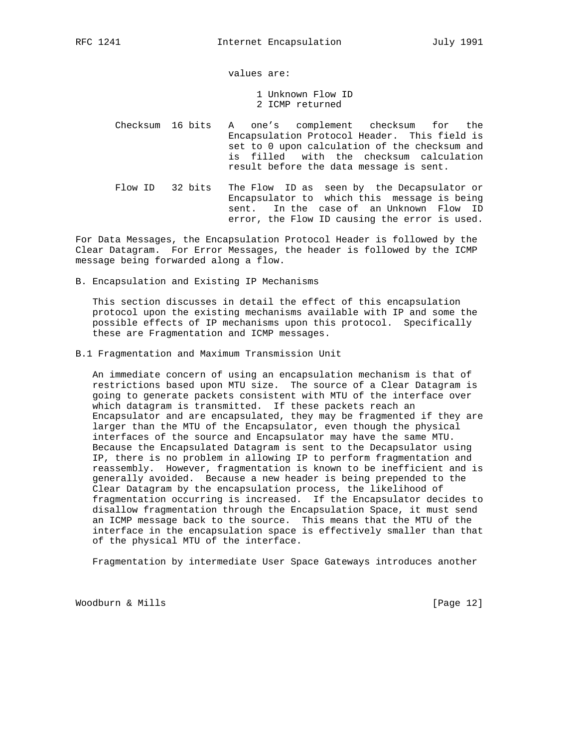values are:

- 1 Unknown Flow ID 2 ICMP returned
- Checksum 16 bits A one's complement checksum for the Encapsulation Protocol Header. This field is set to 0 upon calculation of the checksum and is filled with the checksum calculation result before the data message is sent.
- Flow ID 32 bits The Flow ID as seen by the Decapsulator or Encapsulator to which this message is being sent. In the case of an Unknown Flow ID error, the Flow ID causing the error is used.

For Data Messages, the Encapsulation Protocol Header is followed by the Clear Datagram. For Error Messages, the header is followed by the ICMP message being forwarded along a flow.

B. Encapsulation and Existing IP Mechanisms

 This section discusses in detail the effect of this encapsulation protocol upon the existing mechanisms available with IP and some the possible effects of IP mechanisms upon this protocol. Specifically these are Fragmentation and ICMP messages.

B.1 Fragmentation and Maximum Transmission Unit

 An immediate concern of using an encapsulation mechanism is that of restrictions based upon MTU size. The source of a Clear Datagram is going to generate packets consistent with MTU of the interface over which datagram is transmitted. If these packets reach an Encapsulator and are encapsulated, they may be fragmented if they are larger than the MTU of the Encapsulator, even though the physical interfaces of the source and Encapsulator may have the same MTU. Because the Encapsulated Datagram is sent to the Decapsulator using IP, there is no problem in allowing IP to perform fragmentation and reassembly. However, fragmentation is known to be inefficient and is generally avoided. Because a new header is being prepended to the Clear Datagram by the encapsulation process, the likelihood of fragmentation occurring is increased. If the Encapsulator decides to disallow fragmentation through the Encapsulation Space, it must send an ICMP message back to the source. This means that the MTU of the interface in the encapsulation space is effectively smaller than that of the physical MTU of the interface.

Fragmentation by intermediate User Space Gateways introduces another

Woodburn & Mills [Page 12]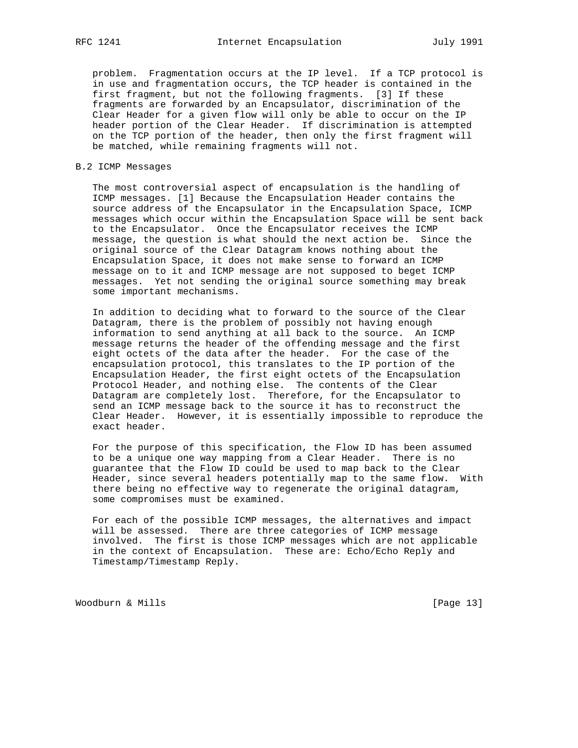problem. Fragmentation occurs at the IP level. If a TCP protocol is in use and fragmentation occurs, the TCP header is contained in the first fragment, but not the following fragments. [3] If these fragments are forwarded by an Encapsulator, discrimination of the Clear Header for a given flow will only be able to occur on the IP header portion of the Clear Header. If discrimination is attempted on the TCP portion of the header, then only the first fragment will be matched, while remaining fragments will not.

### B.2 ICMP Messages

 The most controversial aspect of encapsulation is the handling of ICMP messages. [1] Because the Encapsulation Header contains the source address of the Encapsulator in the Encapsulation Space, ICMP messages which occur within the Encapsulation Space will be sent back to the Encapsulator. Once the Encapsulator receives the ICMP message, the question is what should the next action be. Since the original source of the Clear Datagram knows nothing about the Encapsulation Space, it does not make sense to forward an ICMP message on to it and ICMP message are not supposed to beget ICMP messages. Yet not sending the original source something may break some important mechanisms.

 In addition to deciding what to forward to the source of the Clear Datagram, there is the problem of possibly not having enough information to send anything at all back to the source. An ICMP message returns the header of the offending message and the first eight octets of the data after the header. For the case of the encapsulation protocol, this translates to the IP portion of the Encapsulation Header, the first eight octets of the Encapsulation Protocol Header, and nothing else. The contents of the Clear Datagram are completely lost. Therefore, for the Encapsulator to send an ICMP message back to the source it has to reconstruct the Clear Header. However, it is essentially impossible to reproduce the exact header.

 For the purpose of this specification, the Flow ID has been assumed to be a unique one way mapping from a Clear Header. There is no guarantee that the Flow ID could be used to map back to the Clear Header, since several headers potentially map to the same flow. With there being no effective way to regenerate the original datagram, some compromises must be examined.

 For each of the possible ICMP messages, the alternatives and impact will be assessed. There are three categories of ICMP message involved. The first is those ICMP messages which are not applicable in the context of Encapsulation. These are: Echo/Echo Reply and Timestamp/Timestamp Reply.

Woodburn & Mills [Page 13]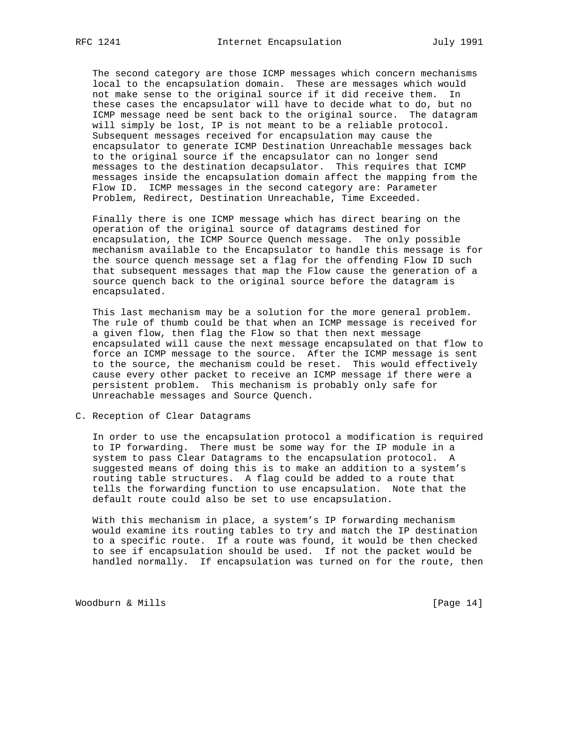The second category are those ICMP messages which concern mechanisms local to the encapsulation domain. These are messages which would not make sense to the original source if it did receive them. In these cases the encapsulator will have to decide what to do, but no ICMP message need be sent back to the original source. The datagram will simply be lost, IP is not meant to be a reliable protocol. Subsequent messages received for encapsulation may cause the encapsulator to generate ICMP Destination Unreachable messages back to the original source if the encapsulator can no longer send messages to the destination decapsulator. This requires that ICMP messages inside the encapsulation domain affect the mapping from the Flow ID. ICMP messages in the second category are: Parameter Problem, Redirect, Destination Unreachable, Time Exceeded.

 Finally there is one ICMP message which has direct bearing on the operation of the original source of datagrams destined for encapsulation, the ICMP Source Quench message. The only possible mechanism available to the Encapsulator to handle this message is for the source quench message set a flag for the offending Flow ID such that subsequent messages that map the Flow cause the generation of a source quench back to the original source before the datagram is encapsulated.

 This last mechanism may be a solution for the more general problem. The rule of thumb could be that when an ICMP message is received for a given flow, then flag the Flow so that then next message encapsulated will cause the next message encapsulated on that flow to force an ICMP message to the source. After the ICMP message is sent to the source, the mechanism could be reset. This would effectively cause every other packet to receive an ICMP message if there were a persistent problem. This mechanism is probably only safe for Unreachable messages and Source Quench.

C. Reception of Clear Datagrams

 In order to use the encapsulation protocol a modification is required to IP forwarding. There must be some way for the IP module in a system to pass Clear Datagrams to the encapsulation protocol. A suggested means of doing this is to make an addition to a system's routing table structures. A flag could be added to a route that tells the forwarding function to use encapsulation. Note that the default route could also be set to use encapsulation.

 With this mechanism in place, a system's IP forwarding mechanism would examine its routing tables to try and match the IP destination to a specific route. If a route was found, it would be then checked to see if encapsulation should be used. If not the packet would be handled normally. If encapsulation was turned on for the route, then

Woodburn & Mills [Page 14]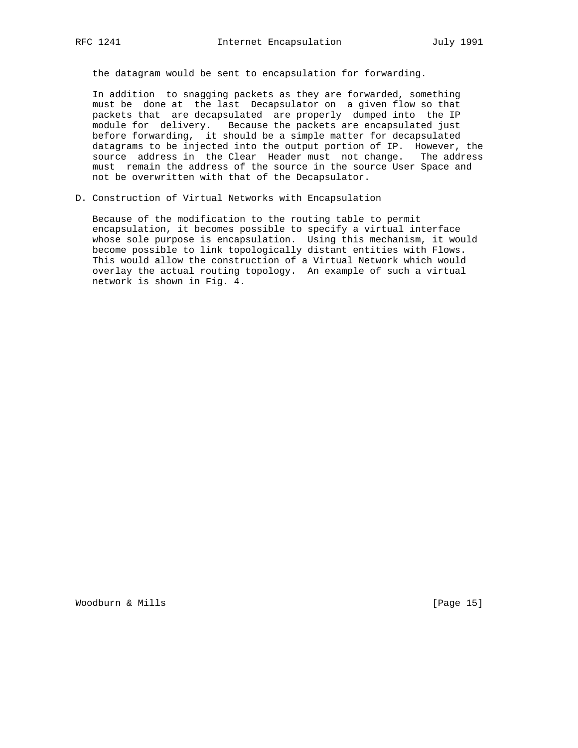the datagram would be sent to encapsulation for forwarding.

 In addition to snagging packets as they are forwarded, something must be done at the last Decapsulator on a given flow so that packets that are decapsulated are properly dumped into the IP module for delivery. Because the packets are encapsulated just before forwarding, it should be a simple matter for decapsulated datagrams to be injected into the output portion of IP. However, the source address in the Clear Header must not change. The address must remain the address of the source in the source User Space and not be overwritten with that of the Decapsulator.

D. Construction of Virtual Networks with Encapsulation

 Because of the modification to the routing table to permit encapsulation, it becomes possible to specify a virtual interface whose sole purpose is encapsulation. Using this mechanism, it would become possible to link topologically distant entities with Flows. This would allow the construction of a Virtual Network which would overlay the actual routing topology. An example of such a virtual network is shown in Fig. 4.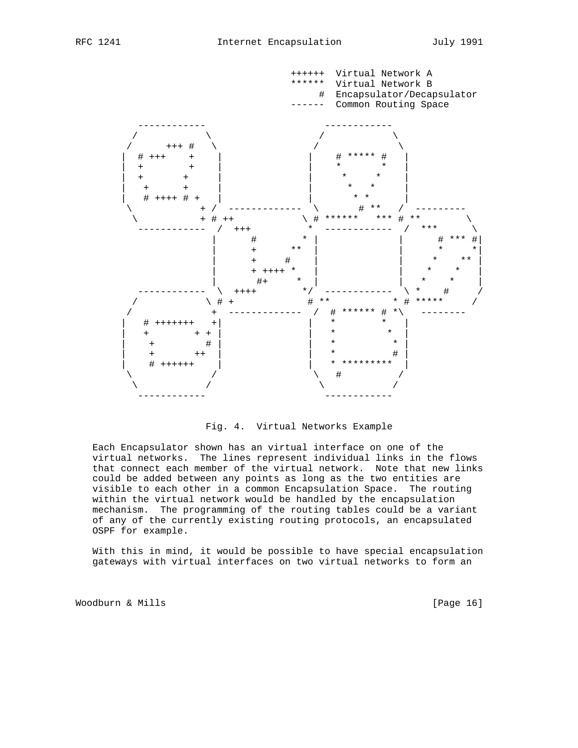

Fig. 4. Virtual Networks Example

 Each Encapsulator shown has an virtual interface on one of the virtual networks. The lines represent individual links in the flows that connect each member of the virtual network. Note that new links could be added between any points as long as the two entities are visible to each other in a common Encapsulation Space. The routing within the virtual network would be handled by the encapsulation mechanism. The programming of the routing tables could be a variant of any of the currently existing routing protocols, an encapsulated OSPF for example.

 With this in mind, it would be possible to have special encapsulation gateways with virtual interfaces on two virtual networks to form an

Woodburn & Mills [Page 16]